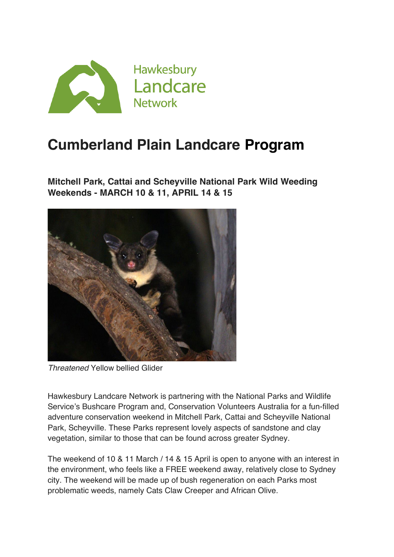

## **Cumberland Plain Landcare Program**

**Mitchell Park, Cattai and Scheyville National Park Wild Weeding Weekends - MARCH 10 & 11, APRIL 14 & 15**



*Threatened* Yellow bellied Glider

Hawkesbury Landcare Network is partnering with the National Parks and Wildlife Service's Bushcare Program and, Conservation Volunteers Australia for a fun-filled adventure conservation weekend in Mitchell Park, Cattai and Scheyville National Park, Scheyville. These Parks represent lovely aspects of sandstone and clay vegetation, similar to those that can be found across greater Sydney.

The weekend of 10 & 11 March / 14 & 15 April is open to anyone with an interest in the environment, who feels like a FREE weekend away, relatively close to Sydney city. The weekend will be made up of bush regeneration on each Parks most problematic weeds, namely Cats Claw Creeper and African Olive.